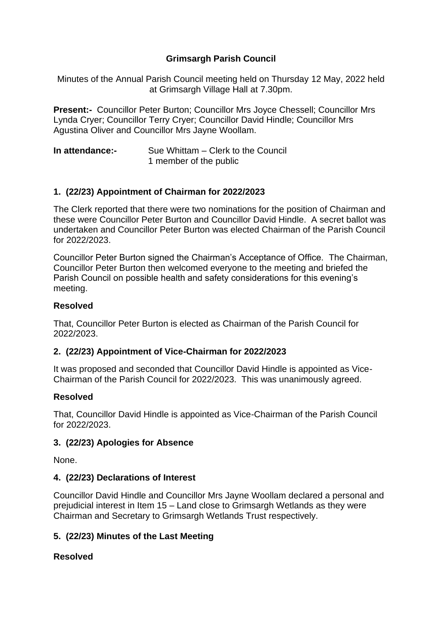## **Grimsargh Parish Council**

Minutes of the Annual Parish Council meeting held on Thursday 12 May, 2022 held at Grimsargh Village Hall at 7.30pm.

**Present:-** Councillor Peter Burton; Councillor Mrs Joyce Chessell; Councillor Mrs Lynda Cryer; Councillor Terry Cryer; Councillor David Hindle; Councillor Mrs Agustina Oliver and Councillor Mrs Jayne Woollam.

| In attendance:- | Sue Whittam – Clerk to the Council |
|-----------------|------------------------------------|
|                 | 1 member of the public             |

### **1. (22/23) Appointment of Chairman for 2022/2023**

The Clerk reported that there were two nominations for the position of Chairman and these were Councillor Peter Burton and Councillor David Hindle. A secret ballot was undertaken and Councillor Peter Burton was elected Chairman of the Parish Council for 2022/2023.

Councillor Peter Burton signed the Chairman's Acceptance of Office. The Chairman, Councillor Peter Burton then welcomed everyone to the meeting and briefed the Parish Council on possible health and safety considerations for this evening's meeting.

### **Resolved**

That, Councillor Peter Burton is elected as Chairman of the Parish Council for 2022/2023.

#### **2. (22/23) Appointment of Vice-Chairman for 2022/2023**

It was proposed and seconded that Councillor David Hindle is appointed as Vice-Chairman of the Parish Council for 2022/2023. This was unanimously agreed.

#### **Resolved**

That, Councillor David Hindle is appointed as Vice-Chairman of the Parish Council for 2022/2023.

#### **3. (22/23) Apologies for Absence**

None.

#### **4. (22/23) Declarations of Interest**

Councillor David Hindle and Councillor Mrs Jayne Woollam declared a personal and prejudicial interest in Item 15 – Land close to Grimsargh Wetlands as they were Chairman and Secretary to Grimsargh Wetlands Trust respectively.

## **5. (22/23) Minutes of the Last Meeting**

#### **Resolved**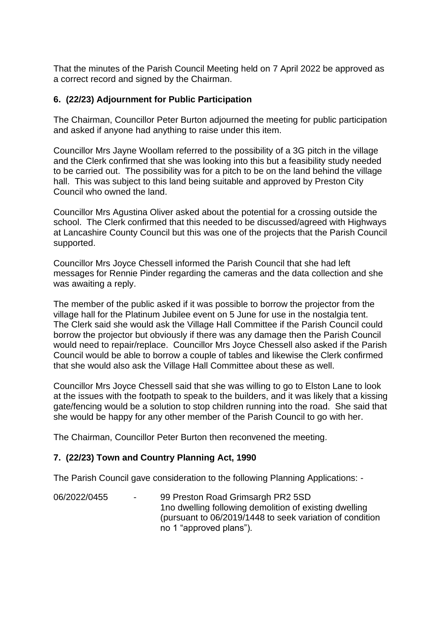That the minutes of the Parish Council Meeting held on 7 April 2022 be approved as a correct record and signed by the Chairman.

### **6. (22/23) Adjournment for Public Participation**

The Chairman, Councillor Peter Burton adjourned the meeting for public participation and asked if anyone had anything to raise under this item.

Councillor Mrs Jayne Woollam referred to the possibility of a 3G pitch in the village and the Clerk confirmed that she was looking into this but a feasibility study needed to be carried out. The possibility was for a pitch to be on the land behind the village hall. This was subject to this land being suitable and approved by Preston City Council who owned the land.

Councillor Mrs Agustina Oliver asked about the potential for a crossing outside the school. The Clerk confirmed that this needed to be discussed/agreed with Highways at Lancashire County Council but this was one of the projects that the Parish Council supported.

Councillor Mrs Joyce Chessell informed the Parish Council that she had left messages for Rennie Pinder regarding the cameras and the data collection and she was awaiting a reply.

The member of the public asked if it was possible to borrow the projector from the village hall for the Platinum Jubilee event on 5 June for use in the nostalgia tent. The Clerk said she would ask the Village Hall Committee if the Parish Council could borrow the projector but obviously if there was any damage then the Parish Council would need to repair/replace. Councillor Mrs Joyce Chessell also asked if the Parish Council would be able to borrow a couple of tables and likewise the Clerk confirmed that she would also ask the Village Hall Committee about these as well.

Councillor Mrs Joyce Chessell said that she was willing to go to Elston Lane to look at the issues with the footpath to speak to the builders, and it was likely that a kissing gate/fencing would be a solution to stop children running into the road. She said that she would be happy for any other member of the Parish Council to go with her.

The Chairman, Councillor Peter Burton then reconvened the meeting.

#### **7. (22/23) Town and Country Planning Act, 1990**

The Parish Council gave consideration to the following Planning Applications: -

06/2022/0455 - 99 Preston Road Grimsargh PR2 5SD 1no dwelling following demolition of existing dwelling (pursuant to 06/2019/1448 to seek variation of condition no 1 "approved plans").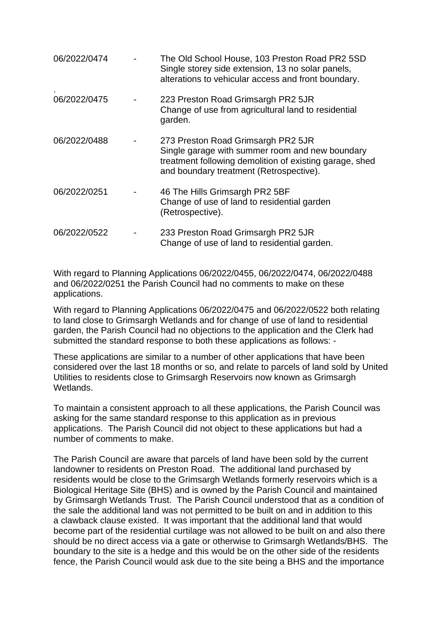| 06/2022/0474 | The Old School House, 103 Preston Road PR2 5SD<br>Single storey side extension, 13 no solar panels,<br>alterations to vehicular access and front boundary.                                  |
|--------------|---------------------------------------------------------------------------------------------------------------------------------------------------------------------------------------------|
| 06/2022/0475 | 223 Preston Road Grimsargh PR2 5JR<br>Change of use from agricultural land to residential<br>garden.                                                                                        |
| 06/2022/0488 | 273 Preston Road Grimsargh PR2 5JR<br>Single garage with summer room and new boundary<br>treatment following demolition of existing garage, shed<br>and boundary treatment (Retrospective). |
| 06/2022/0251 | 46 The Hills Grimsargh PR2 5BF<br>Change of use of land to residential garden<br>(Retrospective).                                                                                           |
| 06/2022/0522 | 233 Preston Road Grimsargh PR2 5JR<br>Change of use of land to residential garden.                                                                                                          |

With regard to Planning Applications 06/2022/0455, 06/2022/0474, 06/2022/0488 and 06/2022/0251 the Parish Council had no comments to make on these applications.

With regard to Planning Applications 06/2022/0475 and 06/2022/0522 both relating to land close to Grimsargh Wetlands and for change of use of land to residential garden, the Parish Council had no objections to the application and the Clerk had submitted the standard response to both these applications as follows: -

These applications are similar to a number of other applications that have been considered over the last 18 months or so, and relate to parcels of land sold by United Utilities to residents close to Grimsargh Reservoirs now known as Grimsargh Wetlands.

To maintain a consistent approach to all these applications, the Parish Council was asking for the same standard response to this application as in previous applications. The Parish Council did not object to these applications but had a number of comments to make.

The Parish Council are aware that parcels of land have been sold by the current landowner to residents on Preston Road. The additional land purchased by residents would be close to the Grimsargh Wetlands formerly reservoirs which is a Biological Heritage Site (BHS) and is owned by the Parish Council and maintained by Grimsargh Wetlands Trust. The Parish Council understood that as a condition of the sale the additional land was not permitted to be built on and in addition to this a clawback clause existed. It was important that the additional land that would become part of the residential curtilage was not allowed to be built on and also there should be no direct access via a gate or otherwise to Grimsargh Wetlands/BHS. The boundary to the site is a hedge and this would be on the other side of the residents fence, the Parish Council would ask due to the site being a BHS and the importance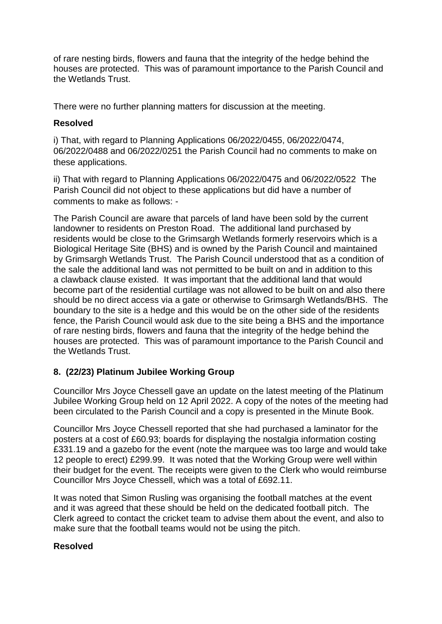of rare nesting birds, flowers and fauna that the integrity of the hedge behind the houses are protected. This was of paramount importance to the Parish Council and the Wetlands Trust.

There were no further planning matters for discussion at the meeting.

## **Resolved**

i) That, with regard to Planning Applications 06/2022/0455, 06/2022/0474, 06/2022/0488 and 06/2022/0251 the Parish Council had no comments to make on these applications.

ii) That with regard to Planning Applications 06/2022/0475 and 06/2022/0522 The Parish Council did not object to these applications but did have a number of comments to make as follows: -

The Parish Council are aware that parcels of land have been sold by the current landowner to residents on Preston Road. The additional land purchased by residents would be close to the Grimsargh Wetlands formerly reservoirs which is a Biological Heritage Site (BHS) and is owned by the Parish Council and maintained by Grimsargh Wetlands Trust. The Parish Council understood that as a condition of the sale the additional land was not permitted to be built on and in addition to this a clawback clause existed. It was important that the additional land that would become part of the residential curtilage was not allowed to be built on and also there should be no direct access via a gate or otherwise to Grimsargh Wetlands/BHS. The boundary to the site is a hedge and this would be on the other side of the residents fence, the Parish Council would ask due to the site being a BHS and the importance of rare nesting birds, flowers and fauna that the integrity of the hedge behind the houses are protected. This was of paramount importance to the Parish Council and the Wetlands Trust.

# **8. (22/23) Platinum Jubilee Working Group**

Councillor Mrs Joyce Chessell gave an update on the latest meeting of the Platinum Jubilee Working Group held on 12 April 2022. A copy of the notes of the meeting had been circulated to the Parish Council and a copy is presented in the Minute Book.

Councillor Mrs Joyce Chessell reported that she had purchased a laminator for the posters at a cost of £60.93; boards for displaying the nostalgia information costing £331.19 and a gazebo for the event (note the marquee was too large and would take 12 people to erect) £299.99. It was noted that the Working Group were well within their budget for the event. The receipts were given to the Clerk who would reimburse Councillor Mrs Joyce Chessell, which was a total of £692.11.

It was noted that Simon Rusling was organising the football matches at the event and it was agreed that these should be held on the dedicated football pitch. The Clerk agreed to contact the cricket team to advise them about the event, and also to make sure that the football teams would not be using the pitch.

## **Resolved**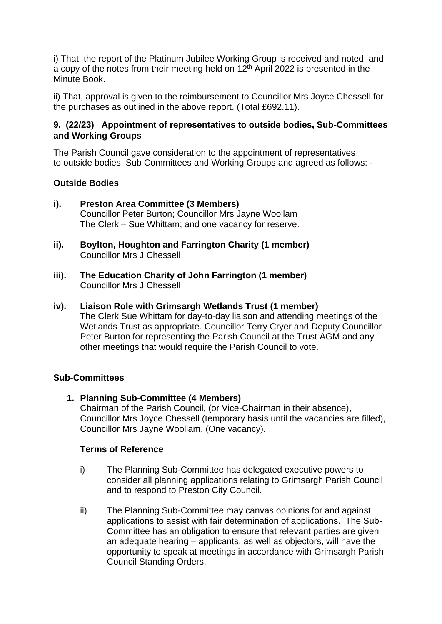i) That, the report of the Platinum Jubilee Working Group is received and noted, and a copy of the notes from their meeting held on  $12<sup>th</sup>$  April 2022 is presented in the Minute Book.

ii) That, approval is given to the reimbursement to Councillor Mrs Joyce Chessell for the purchases as outlined in the above report. (Total £692.11).

## **9. (22/23) Appointment of representatives to outside bodies, Sub-Committees and Working Groups**

The Parish Council gave consideration to the appointment of representatives to outside bodies, Sub Committees and Working Groups and agreed as follows: -

## **Outside Bodies**

- **i). Preston Area Committee (3 Members)** Councillor Peter Burton; Councillor Mrs Jayne Woollam The Clerk – Sue Whittam; and one vacancy for reserve.
- **ii). Boylton, Houghton and Farrington Charity (1 member)** Councillor Mrs J Chessell
- **iii). The Education Charity of John Farrington (1 member)** Councillor Mrs J Chessell

### **iv). Liaison Role with Grimsargh Wetlands Trust (1 member)**

The Clerk Sue Whittam for day-to-day liaison and attending meetings of the Wetlands Trust as appropriate. Councillor Terry Cryer and Deputy Councillor Peter Burton for representing the Parish Council at the Trust AGM and any other meetings that would require the Parish Council to vote.

#### **Sub-Committees**

**1. Planning Sub-Committee (4 Members)** Chairman of the Parish Council, (or Vice-Chairman in their absence), Councillor Mrs Joyce Chessell (temporary basis until the vacancies are filled), Councillor Mrs Jayne Woollam. (One vacancy).

#### **Terms of Reference**

- i) The Planning Sub-Committee has delegated executive powers to consider all planning applications relating to Grimsargh Parish Council and to respond to Preston City Council.
- ii) The Planning Sub-Committee may canvas opinions for and against applications to assist with fair determination of applications. The Sub-Committee has an obligation to ensure that relevant parties are given an adequate hearing – applicants, as well as objectors, will have the opportunity to speak at meetings in accordance with Grimsargh Parish Council Standing Orders.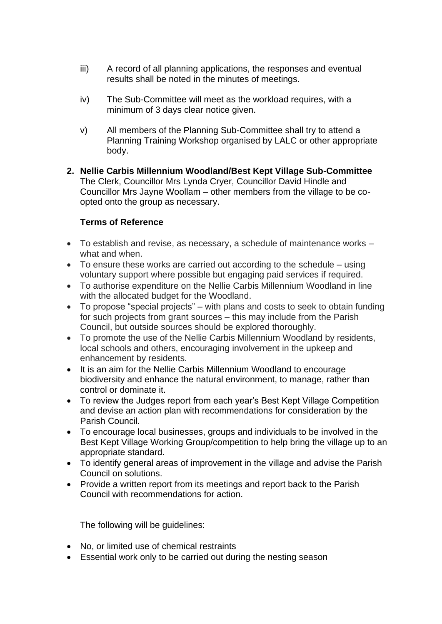- iii) A record of all planning applications, the responses and eventual results shall be noted in the minutes of meetings.
- iv) The Sub-Committee will meet as the workload requires, with a minimum of 3 days clear notice given.
- v) All members of the Planning Sub-Committee shall try to attend a Planning Training Workshop organised by LALC or other appropriate body.
- **2. Nellie Carbis Millennium Woodland/Best Kept Village Sub-Committee**  The Clerk, Councillor Mrs Lynda Cryer, Councillor David Hindle and Councillor Mrs Jayne Woollam – other members from the village to be coopted onto the group as necessary.

## **Terms of Reference**

- To establish and revise, as necessary, a schedule of maintenance works what and when.
- To ensure these works are carried out according to the schedule using voluntary support where possible but engaging paid services if required.
- To authorise expenditure on the Nellie Carbis Millennium Woodland in line with the allocated budget for the Woodland.
- To propose "special projects" with plans and costs to seek to obtain funding for such projects from grant sources – this may include from the Parish Council, but outside sources should be explored thoroughly.
- To promote the use of the Nellie Carbis Millennium Woodland by residents, local schools and others, encouraging involvement in the upkeep and enhancement by residents.
- It is an aim for the Nellie Carbis Millennium Woodland to encourage biodiversity and enhance the natural environment, to manage, rather than control or dominate it.
- To review the Judges report from each year's Best Kept Village Competition and devise an action plan with recommendations for consideration by the Parish Council.
- To encourage local businesses, groups and individuals to be involved in the Best Kept Village Working Group/competition to help bring the village up to an appropriate standard.
- To identify general areas of improvement in the village and advise the Parish Council on solutions.
- Provide a written report from its meetings and report back to the Parish Council with recommendations for action.

The following will be guidelines:

- No, or limited use of chemical restraints
- Essential work only to be carried out during the nesting season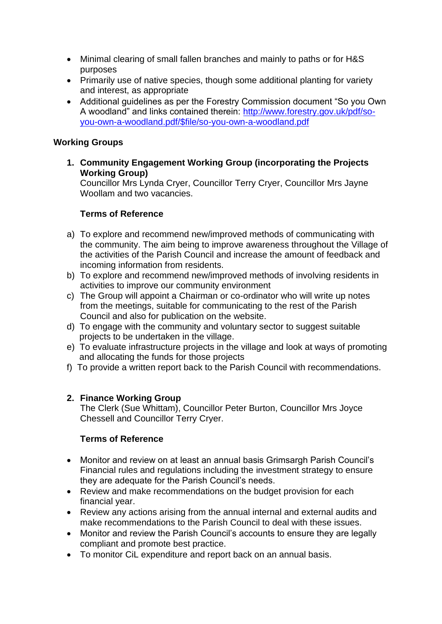- Minimal clearing of small fallen branches and mainly to paths or for H&S purposes
- Primarily use of native species, though some additional planting for variety and interest, as appropriate
- Additional guidelines as per the Forestry Commission document "So you Own A woodland" and links contained therein: [http://www.forestry.gov.uk/pdf/so](about:blank)[you-own-a-woodland.pdf/\\$file/so-you-own-a-woodland.pdf](about:blank)

### **Working Groups**

**1. Community Engagement Working Group (incorporating the Projects Working Group)** 

Councillor Mrs Lynda Cryer, Councillor Terry Cryer, Councillor Mrs Jayne Woollam and two vacancies.

## **Terms of Reference**

- a) To explore and recommend new/improved methods of communicating with the community. The aim being to improve awareness throughout the Village of the activities of the Parish Council and increase the amount of feedback and incoming information from residents.
- b) To explore and recommend new/improved methods of involving residents in activities to improve our community environment
- c) The Group will appoint a Chairman or co-ordinator who will write up notes from the meetings, suitable for communicating to the rest of the Parish Council and also for publication on the website.
- d) To engage with the community and voluntary sector to suggest suitable projects to be undertaken in the village.
- e) To evaluate infrastructure projects in the village and look at ways of promoting and allocating the funds for those projects
- f) To provide a written report back to the Parish Council with recommendations.

## **2. Finance Working Group**

The Clerk (Sue Whittam), Councillor Peter Burton, Councillor Mrs Joyce Chessell and Councillor Terry Cryer.

## **Terms of Reference**

- Monitor and review on at least an annual basis Grimsargh Parish Council's Financial rules and regulations including the investment strategy to ensure they are adequate for the Parish Council's needs.
- Review and make recommendations on the budget provision for each financial year.
- Review any actions arising from the annual internal and external audits and make recommendations to the Parish Council to deal with these issues.
- Monitor and review the Parish Council's accounts to ensure they are legally compliant and promote best practice.
- To monitor CiL expenditure and report back on an annual basis.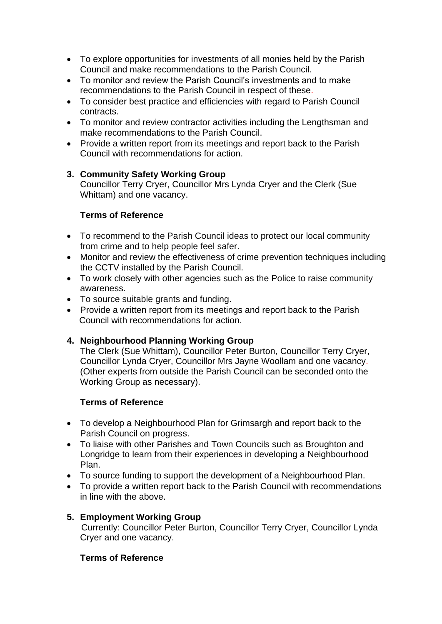- To explore opportunities for investments of all monies held by the Parish Council and make recommendations to the Parish Council.
- To monitor and review the Parish Council's investments and to make recommendations to the Parish Council in respect of these.
- To consider best practice and efficiencies with regard to Parish Council contracts.
- To monitor and review contractor activities including the Lengthsman and make recommendations to the Parish Council.
- Provide a written report from its meetings and report back to the Parish Council with recommendations for action.

## **3. Community Safety Working Group**

Councillor Terry Cryer, Councillor Mrs Lynda Cryer and the Clerk (Sue Whittam) and one vacancy.

## **Terms of Reference**

- To recommend to the Parish Council ideas to protect our local community from crime and to help people feel safer.
- Monitor and review the effectiveness of crime prevention techniques including the CCTV installed by the Parish Council.
- To work closely with other agencies such as the Police to raise community awareness.
- To source suitable grants and funding.
- Provide a written report from its meetings and report back to the Parish Council with recommendations for action.

# **4. Neighbourhood Planning Working Group**

The Clerk (Sue Whittam), Councillor Peter Burton, Councillor Terry Cryer, Councillor Lynda Cryer, Councillor Mrs Jayne Woollam and one vacancy. (Other experts from outside the Parish Council can be seconded onto the Working Group as necessary).

## **Terms of Reference**

- To develop a Neighbourhood Plan for Grimsargh and report back to the Parish Council on progress.
- To liaise with other Parishes and Town Councils such as Broughton and Longridge to learn from their experiences in developing a Neighbourhood Plan.
- To source funding to support the development of a Neighbourhood Plan.
- To provide a written report back to the Parish Council with recommendations in line with the above.

## **5. Employment Working Group**

Currently: Councillor Peter Burton, Councillor Terry Cryer, Councillor Lynda Cryer and one vacancy.

## **Terms of Reference**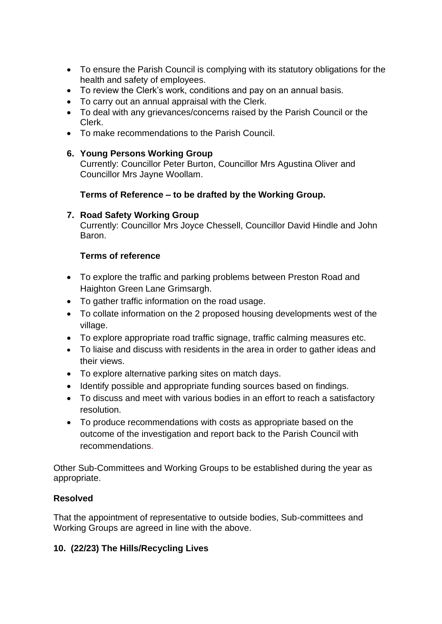- To ensure the Parish Council is complying with its statutory obligations for the health and safety of employees.
- To review the Clerk's work, conditions and pay on an annual basis.
- To carry out an annual appraisal with the Clerk.
- To deal with any grievances/concerns raised by the Parish Council or the Clerk.
- To make recommendations to the Parish Council.

## **6. Young Persons Working Group**

Currently: Councillor Peter Burton, Councillor Mrs Agustina Oliver and Councillor Mrs Jayne Woollam.

## **Terms of Reference – to be drafted by the Working Group.**

## **7. Road Safety Working Group**

Currently: Councillor Mrs Joyce Chessell, Councillor David Hindle and John Baron.

## **Terms of reference**

- To explore the traffic and parking problems between Preston Road and Haighton Green Lane Grimsargh.
- To gather traffic information on the road usage.
- To collate information on the 2 proposed housing developments west of the village.
- To explore appropriate road traffic signage, traffic calming measures etc.
- To liaise and discuss with residents in the area in order to gather ideas and their views.
- To explore alternative parking sites on match days.
- Identify possible and appropriate funding sources based on findings.
- To discuss and meet with various bodies in an effort to reach a satisfactory resolution.
- To produce recommendations with costs as appropriate based on the outcome of the investigation and report back to the Parish Council with recommendations.

Other Sub-Committees and Working Groups to be established during the year as appropriate.

## **Resolved**

That the appointment of representative to outside bodies, Sub-committees and Working Groups are agreed in line with the above.

# **10. (22/23) The Hills/Recycling Lives**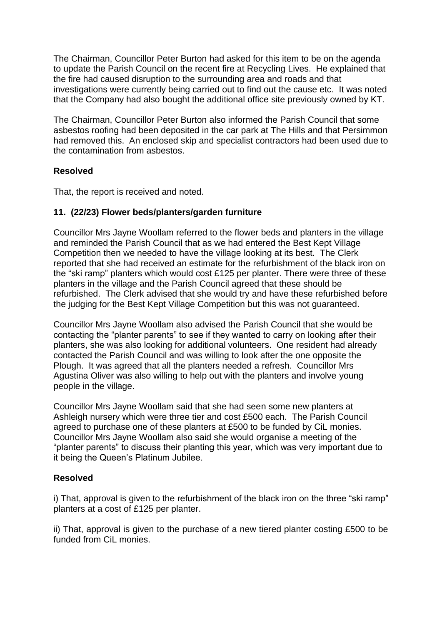The Chairman, Councillor Peter Burton had asked for this item to be on the agenda to update the Parish Council on the recent fire at Recycling Lives. He explained that the fire had caused disruption to the surrounding area and roads and that investigations were currently being carried out to find out the cause etc. It was noted that the Company had also bought the additional office site previously owned by KT.

The Chairman, Councillor Peter Burton also informed the Parish Council that some asbestos roofing had been deposited in the car park at The Hills and that Persimmon had removed this. An enclosed skip and specialist contractors had been used due to the contamination from asbestos.

## **Resolved**

That, the report is received and noted.

## **11. (22/23) Flower beds/planters/garden furniture**

Councillor Mrs Jayne Woollam referred to the flower beds and planters in the village and reminded the Parish Council that as we had entered the Best Kept Village Competition then we needed to have the village looking at its best. The Clerk reported that she had received an estimate for the refurbishment of the black iron on the "ski ramp" planters which would cost £125 per planter. There were three of these planters in the village and the Parish Council agreed that these should be refurbished. The Clerk advised that she would try and have these refurbished before the judging for the Best Kept Village Competition but this was not guaranteed.

Councillor Mrs Jayne Woollam also advised the Parish Council that she would be contacting the "planter parents" to see if they wanted to carry on looking after their planters, she was also looking for additional volunteers. One resident had already contacted the Parish Council and was willing to look after the one opposite the Plough. It was agreed that all the planters needed a refresh. Councillor Mrs Agustina Oliver was also willing to help out with the planters and involve young people in the village.

Councillor Mrs Jayne Woollam said that she had seen some new planters at Ashleigh nursery which were three tier and cost £500 each. The Parish Council agreed to purchase one of these planters at £500 to be funded by CiL monies. Councillor Mrs Jayne Woollam also said she would organise a meeting of the "planter parents" to discuss their planting this year, which was very important due to it being the Queen's Platinum Jubilee.

## **Resolved**

i) That, approval is given to the refurbishment of the black iron on the three "ski ramp" planters at a cost of £125 per planter.

ii) That, approval is given to the purchase of a new tiered planter costing £500 to be funded from CiL monies.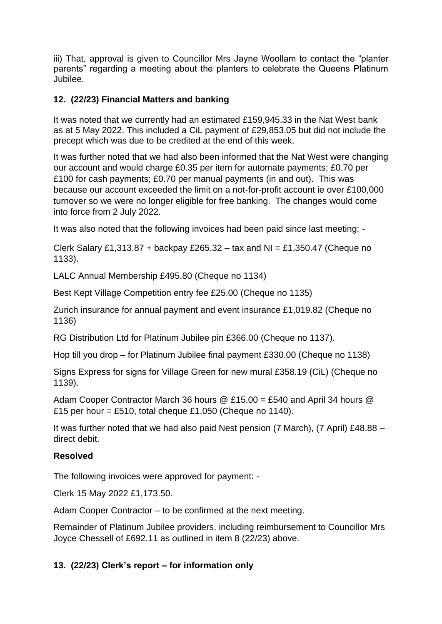iii) That, approval is given to Councillor Mrs Jayne Woollam to contact the "planter parents" regarding a meeting about the planters to celebrate the Queens Platinum Jubilee.

## **12. (22/23) Financial Matters and banking**

It was noted that we currently had an estimated £159,945.33 in the Nat West bank as at 5 May 2022. This included a CiL payment of £29,853.05 but did not include the precept which was due to be credited at the end of this week.

It was further noted that we had also been informed that the Nat West were changing our account and would charge £0.35 per item for automate payments; £0.70 per £100 for cash payments; £0.70 per manual payments (in and out). This was because our account exceeded the limit on a not-for-profit account ie over £100,000 turnover so we were no longer eligible for free banking. The changes would come into force from 2 July 2022.

It was also noted that the following invoices had been paid since last meeting: -

Clerk Salary £1,313.87 + backpay £265.32 – tax and NI = £1,350.47 (Cheque no 1133).

LALC Annual Membership £495.80 (Cheque no 1134)

Best Kept Village Competition entry fee £25.00 (Cheque no 1135)

Zurich insurance for annual payment and event insurance £1,019.82 (Cheque no 1136)

RG Distribution Ltd for Platinum Jubilee pin £366.00 (Cheque no 1137).

Hop till you drop – for Platinum Jubilee final payment £330.00 (Cheque no 1138)

Signs Express for signs for Village Green for new mural £358.19 (CiL) (Cheque no 1139).

Adam Cooper Contractor March 36 hours @ £15.00 = £540 and April 34 hours @ £15 per hour = £510, total cheque £1,050 (Cheque no 1140).

It was further noted that we had also paid Nest pension (7 March), (7 April) £48.88 – direct debit.

## **Resolved**

The following invoices were approved for payment: -

Clerk 15 May 2022 £1,173.50.

Adam Cooper Contractor – to be confirmed at the next meeting.

Remainder of Platinum Jubilee providers, including reimbursement to Councillor Mrs Joyce Chessell of £692.11 as outlined in item 8 (22/23) above.

# **13. (22/23) Clerk's report – for information only**